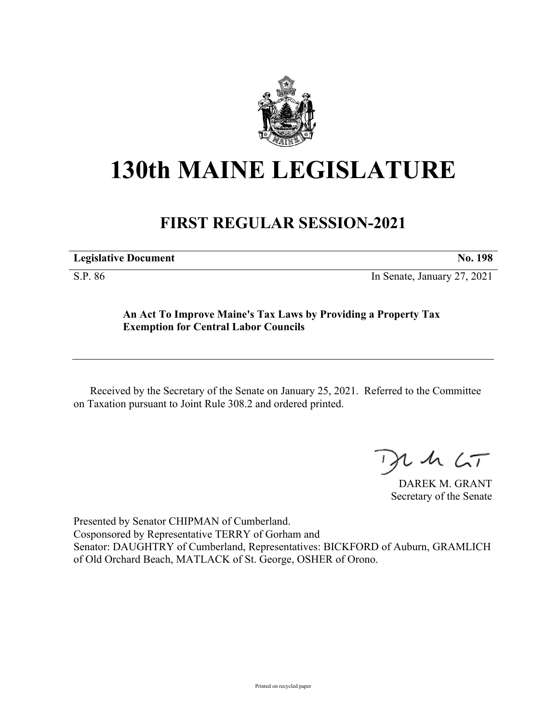

## **130th MAINE LEGISLATURE**

## **FIRST REGULAR SESSION-2021**

| <b>Legislative Document</b> | No. 198 |
|-----------------------------|---------|
|                             |         |

S.P. 86 In Senate, January 27, 2021

**An Act To Improve Maine's Tax Laws by Providing a Property Tax Exemption for Central Labor Councils**

Received by the Secretary of the Senate on January 25, 2021. Referred to the Committee on Taxation pursuant to Joint Rule 308.2 and ordered printed.

 $125$ 

DAREK M. GRANT Secretary of the Senate

Presented by Senator CHIPMAN of Cumberland. Cosponsored by Representative TERRY of Gorham and Senator: DAUGHTRY of Cumberland, Representatives: BICKFORD of Auburn, GRAMLICH of Old Orchard Beach, MATLACK of St. George, OSHER of Orono.